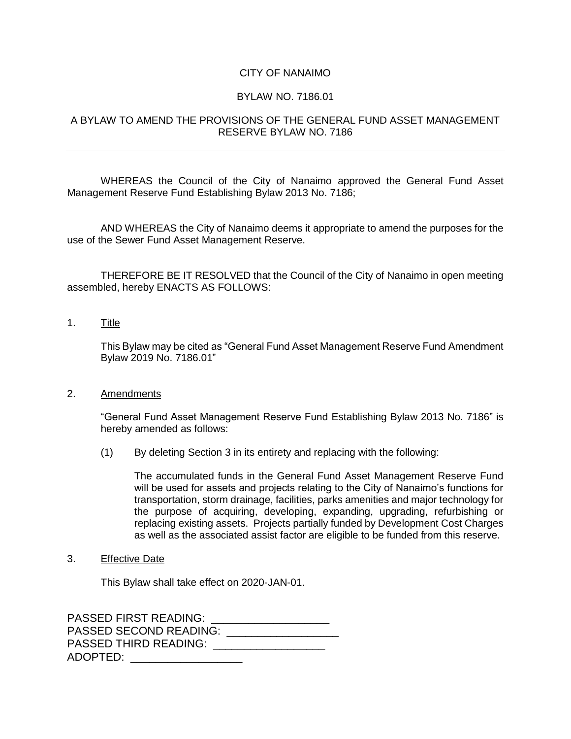## CITY OF NANAIMO

## BYLAW NO. 7186.01

## A BYLAW TO AMEND THE PROVISIONS OF THE GENERAL FUND ASSET MANAGEMENT RESERVE BYLAW NO. 7186

WHEREAS the Council of the City of Nanaimo approved the General Fund Asset Management Reserve Fund Establishing Bylaw 2013 No. 7186;

AND WHEREAS the City of Nanaimo deems it appropriate to amend the purposes for the use of the Sewer Fund Asset Management Reserve.

THEREFORE BE IT RESOLVED that the Council of the City of Nanaimo in open meeting assembled, hereby ENACTS AS FOLLOWS:

1. Title

This Bylaw may be cited as "General Fund Asset Management Reserve Fund Amendment Bylaw 2019 No. 7186.01"

## 2. Amendments

"General Fund Asset Management Reserve Fund Establishing Bylaw 2013 No. 7186" is hereby amended as follows:

(1) By deleting Section 3 in its entirety and replacing with the following:

The accumulated funds in the General Fund Asset Management Reserve Fund will be used for assets and projects relating to the City of Nanaimo's functions for transportation, storm drainage, facilities, parks amenities and major technology for the purpose of acquiring, developing, expanding, upgrading, refurbishing or replacing existing assets. Projects partially funded by Development Cost Charges as well as the associated assist factor are eligible to be funded from this reserve.

3. Effective Date

This Bylaw shall take effect on 2020-JAN-01.

PASSED FIRST READING: \_\_\_\_\_\_\_\_\_\_\_\_\_\_\_\_\_\_\_ PASSED SECOND READING: PASSED THIRD READING: \_\_\_\_\_\_\_\_\_\_\_\_\_\_\_\_\_\_\_\_ ADOPTED: \_\_\_\_\_\_\_\_\_\_\_\_\_\_\_\_\_\_